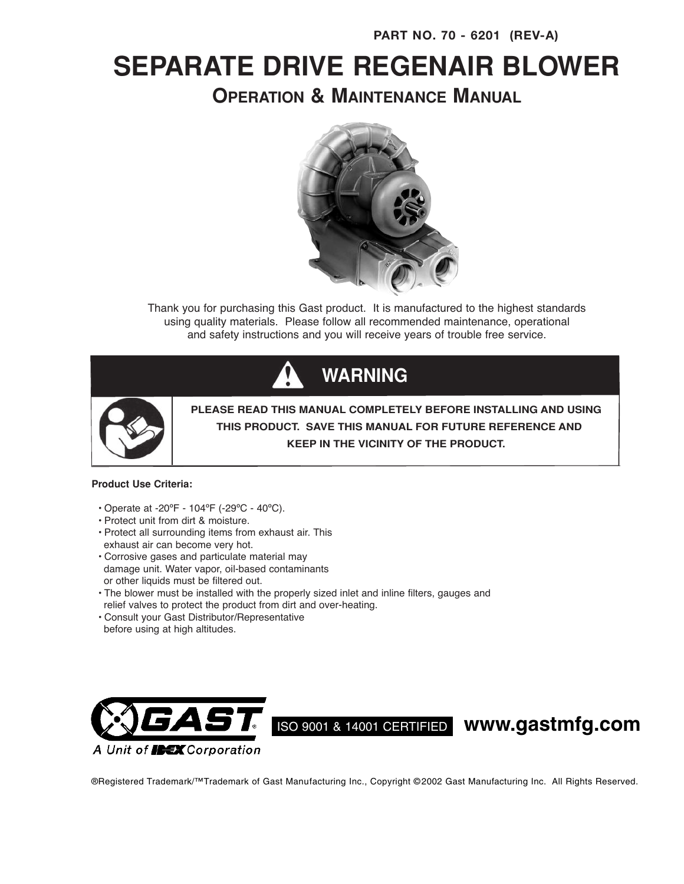# **SEPARATE DRIVE REGENAIR BLOWER**

**OPERATION & MAINTENANCE MANUAL**



Thank you for purchasing this Gast product. It is manufactured to the highest standards using quality materials. Please follow all recommended maintenance, operational and safety instructions and you will receive years of trouble free service.





**PLEASE READ THIS MANUAL COMPLETELY BEFORE INSTALLING AND USING THIS PRODUCT. SAVE THIS MANUAL FOR FUTURE REFERENCE AND KEEP IN THE VICINITY OF THE PRODUCT.**

### **Product Use Criteria:**

- Operate at -20ºF 104ºF (-29ºC 40ºC).
- Protect unit from dirt & moisture.
- Protect all surrounding items from exhaust air. This exhaust air can become very hot.
- Corrosive gases and particulate material may damage unit. Water vapor, oil-based contaminants or other liquids must be filtered out.
- The blower must be installed with the properly sized inlet and inline filters, gauges and relief valves to protect the product from dirt and over-heating.
- Consult your Gast Distributor/Representative before using at high altitudes.



ISO <sup>9001</sup> & <sup>14001</sup> CERTIFIED **www.gastmfg.com**

®Registered Trademark/™Trademark of Gast Manufacturing Inc., Copyright © 2002 Gast Manufacturing Inc. All Rights Reserved.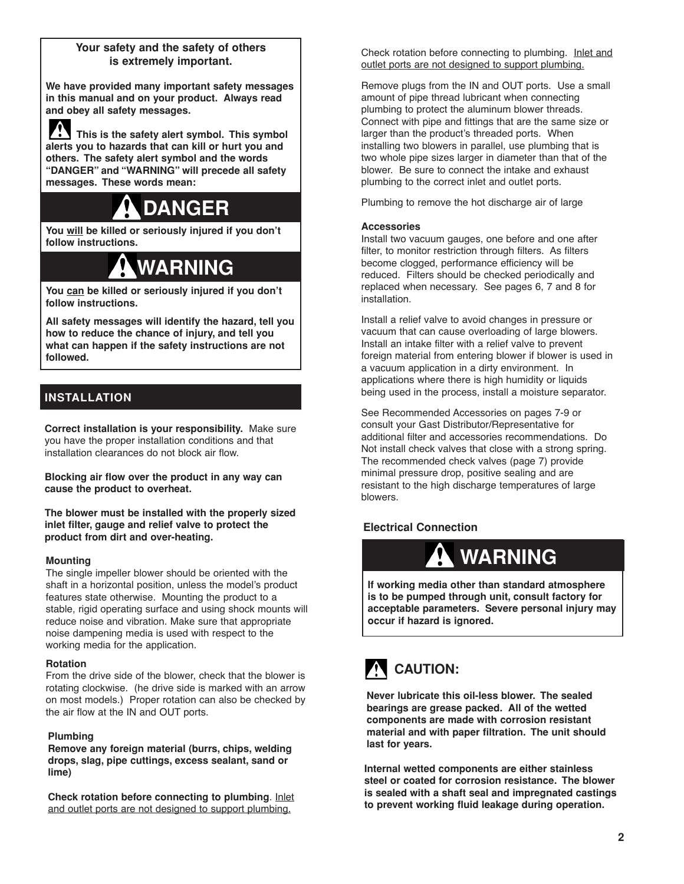## **Your safety and the safety of others is extremely important.**

**We have provided many important safety messages in this manual and on your product. Always read and obey all safety messages.**

**This is the safety alert symbol. This symbol alerts you to hazards that can kill or hurt you and others. The safety alert symbol and the words "DANGER" and "WARNING" will precede all safety messages. These words mean:**

# **DANGER**

**You will be killed or seriously injured if you don't follow instructions.**

# **WARNING**

**You can be killed or seriously injured if you don't follow instructions.**

**All safety messages will identify the hazard, tell you how to reduce the chance of injury, and tell you what can happen if the safety instructions are not followed.**

# **INSTALLATION**

**Correct installation is your responsibility.** Make sure you have the proper installation conditions and that installation clearances do not block air flow.

**Blocking air flow over the product in any way can cause the product to overheat.**

**The blower must be installed with the properly sized inlet filter, gauge and relief valve to protect the product from dirt and over-heating.**

### **Mounting**

The single impeller blower should be oriented with the shaft in a horizontal position, unless the model's product features state otherwise. Mounting the product to a stable, rigid operating surface and using shock mounts will reduce noise and vibration. Make sure that appropriate noise dampening media is used with respect to the working media for the application.

### **Rotation**

From the drive side of the blower, check that the blower is rotating clockwise. (he drive side is marked with an arrow on most models.) Proper rotation can also be checked by the air flow at the IN and OUT ports.

### **Plumbing**

**Remove any foreign material (burrs, chips, welding drops, slag, pipe cuttings, excess sealant, sand or lime)**

**Check rotation before connecting to plumbing**. Inlet and outlet ports are not designed to support plumbing.

Check rotation before connecting to plumbing. Inlet and outlet ports are not designed to support plumbing.

Remove plugs from the IN and OUT ports. Use a small amount of pipe thread lubricant when connecting plumbing to protect the aluminum blower threads. Connect with pipe and fittings that are the same size or larger than the product's threaded ports. When installing two blowers in parallel, use plumbing that is two whole pipe sizes larger in diameter than that of the blower. Be sure to connect the intake and exhaust plumbing to the correct inlet and outlet ports.

Plumbing to remove the hot discharge air of large

### **Accessories**

Install two vacuum gauges, one before and one after filter, to monitor restriction through filters. As filters become clogged, performance efficiency will be reduced. Filters should be checked periodically and replaced when necessary. See pages 6, 7 and 8 for installation.

Install a relief valve to avoid changes in pressure or vacuum that can cause overloading of large blowers. Install an intake filter with a relief valve to prevent foreign material from entering blower if blower is used in a vacuum application in a dirty environment. In applications where there is high humidity or liquids being used in the process, install a moisture separator.

See Recommended Accessories on pages 7-9 or consult your Gast Distributor/Representative for additional filter and accessories recommendations. Do Not install check valves that close with a strong spring. The recommended check valves (page 7) provide minimal pressure drop, positive sealing and are resistant to the high discharge temperatures of large blowers.

# **Electrical Connection**



**If working media other than standard atmosphere is to be pumped through unit, consult factory for acceptable parameters. Severe personal injury may occur if hazard is ignored.**



**Never lubricate this oil-less blower. The sealed bearings are grease packed. All of the wetted components are made with corrosion resistant material and with paper filtration. The unit should last for years.**

**Internal wetted components are either stainless steel or coated for corrosion resistance. The blower is sealed with a shaft seal and impregnated castings to prevent working fluid leakage during operation.**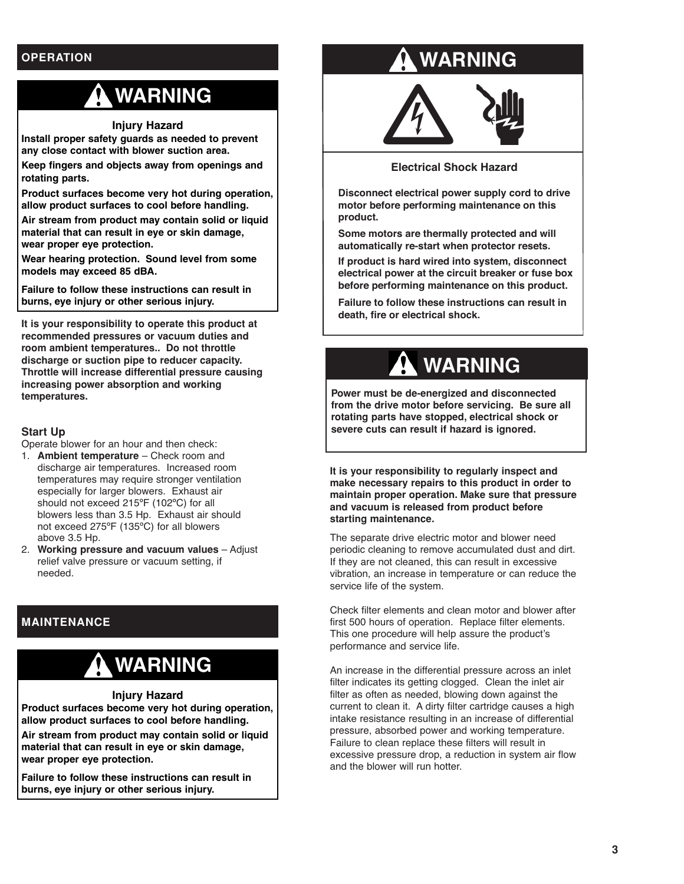# **OPERATION**

# **WARNING**

**Injury Hazard**

**Install proper safety guards as needed to prevent any close contact with blower suction area.**

**Keep fingers and objects away from openings and rotating parts.**

**Product surfaces become very hot during operation, allow product surfaces to cool before handling.**

**Air stream from product may contain solid or liquid material that can result in eye or skin damage, wear proper eye protection.**

**Wear hearing protection. Sound level from some models may exceed 85 dBA.**

**Failure to follow these instructions can result in burns, eye injury or other serious injury.**

**It is your responsibility to operate this product at recommended pressures or vacuum duties and room ambient temperatures.. Do not throttle discharge or suction pipe to reducer capacity. Throttle will increase differential pressure causing increasing power absorption and working temperatures.**

## **Start Up**

Operate blower for an hour and then check:

- 1. **Ambient temperature** Check room and discharge air temperatures. Increased room temperatures may require stronger ventilation especially for larger blowers. Exhaust air should not exceed 215ºF (102ºC) for all blowers less than 3.5 Hp. Exhaust air should not exceed 275ºF (135ºC) for all blowers above 3.5 Hp.
- 2. **Working pressure and vacuum values** Adjust relief valve pressure or vacuum setting, if needed.

# **MAINTENANCE**

# **WARNING**

### **Injury Hazard**

**Product surfaces become very hot during operation, allow product surfaces to cool before handling. Air stream from product may contain solid or liquid material that can result in eye or skin damage, wear proper eye protection.**

**Failure to follow these instructions can result in burns, eye injury or other serious injury.**

# **WARNING**



**Electrical Shock Hazard**

**Disconnect electrical power supply cord to drive motor before performing maintenance on this product.**

**Some motors are thermally protected and will automatically re-start when protector resets.**

**If product is hard wired into system, disconnect electrical power at the circuit breaker or fuse box before performing maintenance on this product.**

**Failure to follow these instructions can result in death, fire or electrical shock.**

# **WARNING**

**Power must be de-energized and disconnected from the drive motor before servicing. Be sure all rotating parts have stopped, electrical shock or severe cuts can result if hazard is ignored.**

**It is your responsibility to regularly inspect and make necessary repairs to this product in order to maintain proper operation. Make sure that pressure and vacuum is released from product before starting maintenance.**

The separate drive electric motor and blower need periodic cleaning to remove accumulated dust and dirt. If they are not cleaned, this can result in excessive vibration, an increase in temperature or can reduce the service life of the system.

Check filter elements and clean motor and blower after first 500 hours of operation. Replace filter elements. This one procedure will help assure the product's performance and service life.

An increase in the differential pressure across an inlet filter indicates its getting clogged. Clean the inlet air filter as often as needed, blowing down against the current to clean it. A dirty filter cartridge causes a high intake resistance resulting in an increase of differential pressure, absorbed power and working temperature. Failure to clean replace these filters will result in excessive pressure drop, a reduction in system air flow and the blower will run hotter.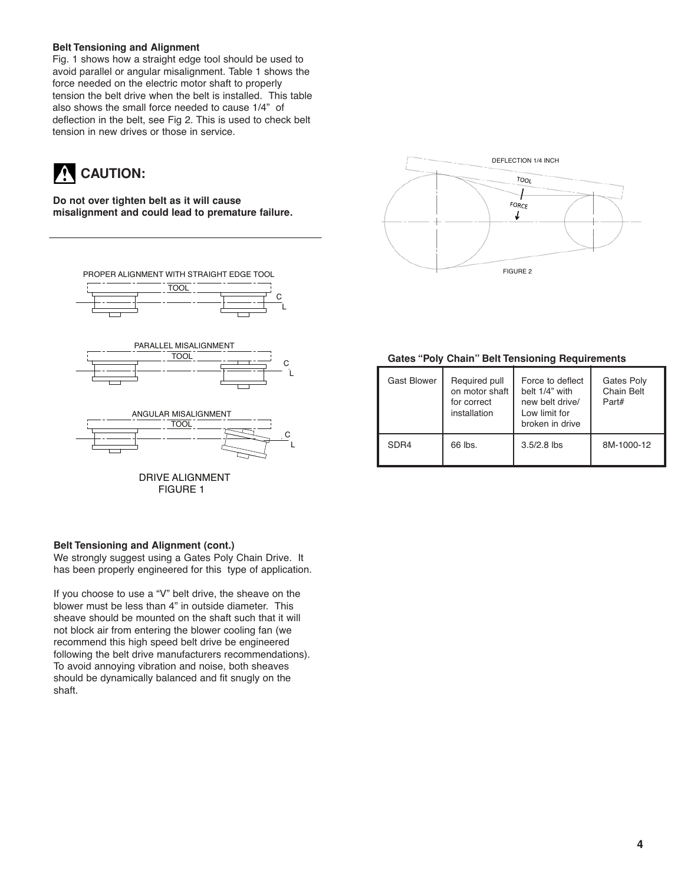### **Belt Tensioning and Alignment**

Fig. 1 shows how a straight edge tool should be used to avoid parallel or angular misalignment. Table 1 shows the force needed on the electric motor shaft to properly tension the belt drive when the belt is installed. This table also shows the small force needed to cause 1/4" of deflection in the belt, see Fig 2. This is used to check belt tension in new drives or those in service.

# **CAUTION:**

**Do not over tighten belt as it will cause misalignment and could lead to premature failure.**



### **Belt Tensioning and Alignment (cont.)**

We strongly suggest using a Gates Poly Chain Drive. It has been properly engineered for this type of application.

If you choose to use a "V" belt drive, the sheave on the blower must be less than 4" in outside diameter. This sheave should be mounted on the shaft such that it will not block air from entering the blower cooling fan (we recommend this high speed belt drive be engineered following the belt drive manufacturers recommendations). To avoid annoying vibration and noise, both sheaves should be dynamically balanced and fit snugly on the shaft.



#### **Gates "Poly Chain" Belt Tensioning Requirements**

| <b>Gast Blower</b> | Required pull<br>on motor shaft<br>for correct<br>installation | Force to deflect<br>belt 1/4" with<br>new belt drive/<br>Low limit for<br>broken in drive | Gates Poly<br><b>Chain Belt</b><br>Part# |
|--------------------|----------------------------------------------------------------|-------------------------------------------------------------------------------------------|------------------------------------------|
| SDR4               | 66 lbs.                                                        | $3.5/2.8$ lbs                                                                             | 8M-1000-12                               |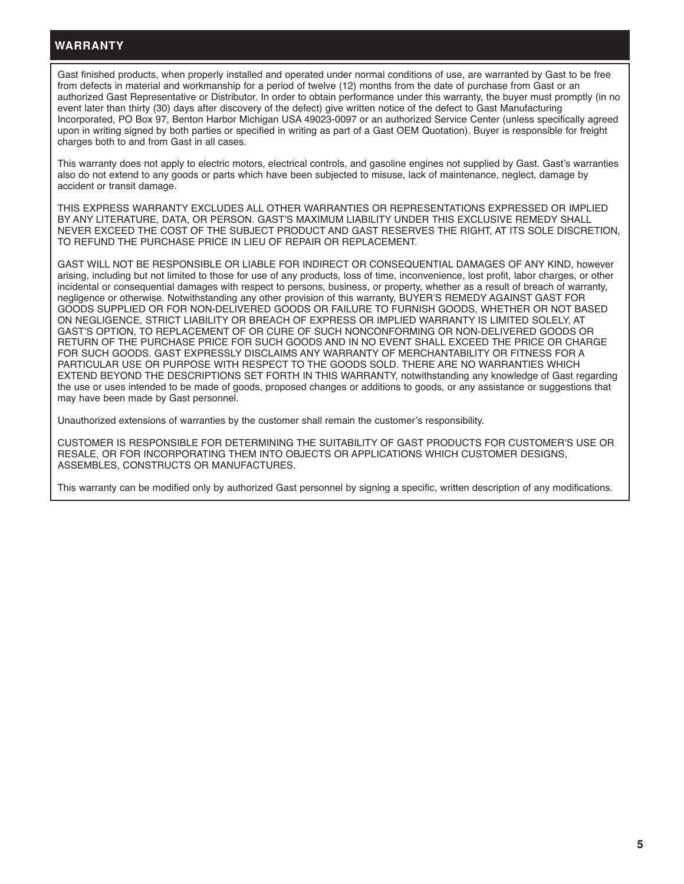## **WARRANTY**

Gast finished products, when properly installed and operated under normal conditions of use, are warranted by Gast to be free from defects in material and workmanship for a period of twelve (12) months from the date of purchase from Gast or an authorized Gast Representative or Distributor. In order to obtain performance under this warranty, the buyer must promptly (in no event later than thirty (30) days after discovery of the defect) give written notice of the defect to Gast Manufacturing Incorporated, PO Box 97, Benton Harbor Michigan USA 49023-0097 or an authorized Service Center (unless specifically agreed upon in writing signed by both parties or specified in writing as part of a Gast OEM Quotation). Buyer is responsible for freight charges both to and from Gast in all cases.

This warranty does not apply to electric motors, electrical controls, and gasoline engines not supplied by Gast. Gast's warranties also do not extend to any goods or parts which have been subjected to misuse, lack of maintenance, neglect, damage by accident or transit damage.

THIS EXPRESS WARRANTY EXCLUDES ALL OTHER WARRANTIES OR REPRESENTATIONS EXPRESSED OR IMPLIED BY ANY LITERATURE, DATA, OR PERSON. GAST'S MAXIMUM LIABILITY UNDER THIS EXCLUSIVE REMEDY SHALL NEVER EXCEED THE COST OF THE SUBJECT PRODUCT AND GAST RESERVES THE RIGHT, AT ITS SOLE DISCRETION, TO REFUND THE PURCHASE PRICE IN LIEU OF REPAIR OR REPLACEMENT.

GAST WILL NOT BE RESPONSIBLE OR LIABLE FOR INDIRECT OR CONSEQUENTIAL DAMAGES OF ANY KIND, however arising, including but not limited to those for use of any products, loss of time, inconvenience, lost profit, labor charges, or other incidental or consequential damages with respect to persons, business, or property, whether as a result of breach of warranty, negligence or otherwise. Notwithstanding any other provision of this warranty, BUYER'S REMEDY AGAINST GAST FOR GOODS SUPPLIED OR FOR NON-DELIVERED GOODS OR FAILURE TO FURNISH GOODS, WHETHER OR NOT BASED ON NEGLIGENCE, STRICT LIABILITY OR BREACH OF EXPRESS OR IMPLIED WARRANTY IS LIMITED SOLELY, AT GAST'S OPTION, TO REPLACEMENT OF OR CURE OF SUCH NONCONFORMING OR NON-DELIVERED GOODS OR RETURN OF THE PURCHASE PRICE FOR SUCH GOODS AND IN NO EVENT SHALL EXCEED THE PRICE OR CHARGE FOR SUCH GOODS. GAST EXPRESSLY DISCLAIMS ANY WARRANTY OF MERCHANTABILITY OR FITNESS FOR A PARTICULAR USE OR PURPOSE WITH RESPECT TO THE GOODS SOLD. THERE ARE NO WARRANTIES WHICH EXTEND BEYOND THE DESCRIPTIONS SET FORTH IN THIS WARRANTY, notwithstanding any knowledge of Gast regarding the use or uses intended to be made of goods, proposed changes or additions to goods, or any assistance or suggestions that may have been made by Gast personnel.

Unauthorized extensions of warranties by the customer shall remain the customer's responsibility.

CUSTOMER IS RESPONSIBLE FOR DETERMINING THE SUITABILITY OF GAST PRODUCTS FOR CUSTOMER'S USE OR RESALE, OR FOR INCORPORATING THEM INTO OBJECTS OR APPLICATIONS WHICH CUSTOMER DESIGNS, ASSEMBLES, CONSTRUCTS OR MANUFACTURES.

This warranty can be modified only by authorized Gast personnel by signing a specific, written description of any modifications.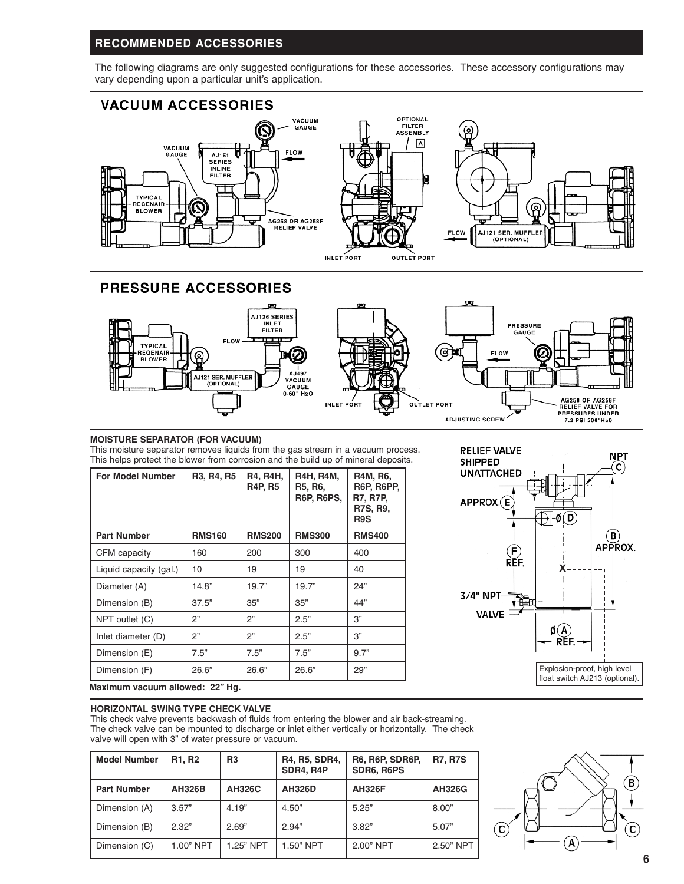# **RECOMMENDED ACCESSORIES**

The following diagrams are only suggested configurations for these accessories. These accessory configurations may vary depending upon a particular unit's application.



# **PRESSURE ACCESSORIES**



### **MOISTURE SEPARATOR (FOR VACUUM)**

This moisture separator removes liquids from the gas stream in a vacuum process. This helps protect the blower from corrosion and the build up of mineral deposits.

| <b>For Model Number</b> | R3, R4, R5       | <b>R4, R4H,</b><br><b>R4P, R5</b> | <b>R4H, R4M,</b><br>R5, R6,<br><b>R6P, R6PS,</b> | R4M, R6,<br><b>R6P, R6PP,</b><br><b>R7, R7P,</b><br>R7S, R9,<br>R9S |
|-------------------------|------------------|-----------------------------------|--------------------------------------------------|---------------------------------------------------------------------|
| <b>Part Number</b>      | <b>RMS160</b>    | <b>RMS200</b>                     | <b>RMS300</b>                                    | <b>RMS400</b>                                                       |
| CFM capacity            | 160              | 200                               | 300                                              | 400                                                                 |
| Liquid capacity (gal.)  | 10 <sup>10</sup> | 19                                | 19                                               | 40                                                                  |
| Diameter (A)            | 14.8"            | 19.7"                             | 19.7"                                            | 24"                                                                 |
| Dimension (B)           | 37.5"            | 35"                               | 35"                                              | 44"                                                                 |
| NPT outlet (C)          | 2"               | 2"                                | 2.5"                                             | 3"                                                                  |
| Inlet diameter (D)      | 2"               | 2"                                | 2.5"                                             | 3"                                                                  |
| Dimension (E)           | 7.5"             | 7.5"                              | 7.5"                                             | 9.7"                                                                |
| Dimension (F)           | 26.6"            | 26.6"                             | 26.6"                                            | 29"                                                                 |



**Maximum vacuum allowed: 22" Hg.**

#### **HORIZONTAL SWING TYPE CHECK VALVE**

This check valve prevents backwash of fluids from entering the blower and air back-streaming. The check valve can be mounted to discharge or inlet either vertically or horizontally. The check valve will open with 3" of water pressure or vacuum.

| <b>Model Number</b> | R <sub>1</sub> , R <sub>2</sub> | R <sub>3</sub> | R4, R5, SDR4,<br>SDR4, R4P | <b>R6, R6P, SDR6P,</b><br>SDR6, R6PS | <b>R7, R7S</b> |
|---------------------|---------------------------------|----------------|----------------------------|--------------------------------------|----------------|
| <b>Part Number</b>  | <b>AH326B</b>                   | <b>AH326C</b>  | <b>AH326D</b>              | <b>AH326F</b>                        | <b>AH326G</b>  |
| Dimension (A)       | 3.57"                           | 4.19"          | 4.50"                      | 5.25"                                | 8.00"          |
| Dimension (B)       | 2.32"                           | 2.69"          | 2.94"                      | 3.82"                                | 5.07"          |
| Dimension (C)       | 1.00" NPT                       | 1.25" NPT      | 1.50" NPT                  | 2.00" NPT                            | 2.50" NPT      |

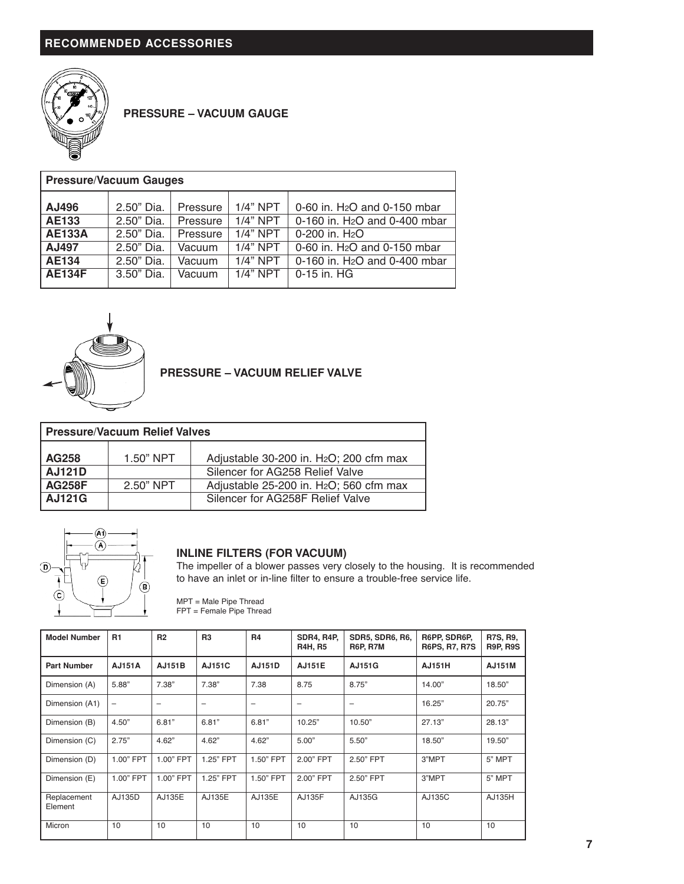

**PRESSURE – VACUUM GAUGE**

| <b>Pressure/Vacuum Gauges</b> |                          |                      |                          |                                                                         |  |  |  |
|-------------------------------|--------------------------|----------------------|--------------------------|-------------------------------------------------------------------------|--|--|--|
| AJ496                         | 2.50" Dia.               | Pressure             | $1/4"$ NPT               | 0-60 in. H <sub>2</sub> O and 0-150 mbar                                |  |  |  |
| <b>AE133</b><br><b>AE133A</b> | 2.50" Dia.<br>2.50" Dia. | Pressure<br>Pressure | $1/4"$ NPT<br>$1/4"$ NPT | 0-160 in. H <sub>2</sub> O and 0-400 mbar<br>0-200 in. H <sub>2</sub> O |  |  |  |
| AJ497                         | 2.50" Dia.               | Vacuum               | $1/4"$ NPT               | 0-60 in. H <sub>2</sub> O and 0-150 mbar                                |  |  |  |
| <b>AE134</b>                  | 2.50" Dia.               | Vacuum               | $1/4"$ NPT               | 0-160 in. H <sub>2</sub> O and 0-400 mbar                               |  |  |  |
| <b>AE134F</b>                 | $3.50"$ Dia.             | Vacuum               | $1/4$ " NPT              | 0-15 in. HG                                                             |  |  |  |



**PRESSURE – VACUUM RELIEF VALVE**

| Pressure/Vacuum Relief Valves |             |                                                                                        |  |  |  |  |
|-------------------------------|-------------|----------------------------------------------------------------------------------------|--|--|--|--|
| AG258<br><b>AJ121D</b>        | $1.50"$ NPT | Adjustable 30-200 in. H <sub>2</sub> O; 200 cfm max<br>Silencer for AG258 Relief Valve |  |  |  |  |
| AG258F                        | $2.50"$ NPT | Adjustable 25-200 in. H <sub>2</sub> O; 560 cfm max                                    |  |  |  |  |
| <b>AJ121G</b>                 |             | Silencer for AG258F Relief Valve                                                       |  |  |  |  |



# **INLINE FILTERS (FOR VACUUM)**

The impeller of a blower passes very closely to the housing. It is recommended to have an inlet or in-line filter to ensure a trouble-free service life.

| $MPT = Male$ Pipe Thread |  |
|--------------------------|--|
| FPT = Female Pipe Thread |  |

| <b>Model Number</b>    | <b>R1</b>         | R <sub>2</sub> | R <sub>3</sub> | R <sub>4</sub> | <b>SDR4, R4P,</b><br><b>R4H, R5</b> | <b>SDR5, SDR6, R6,</b><br><b>R6P, R7M</b> | R6PP, SDR6P,<br><b>R6PS, R7, R7S</b> | <b>R7S, R9,</b><br><b>R9P, R9S</b> |
|------------------------|-------------------|----------------|----------------|----------------|-------------------------------------|-------------------------------------------|--------------------------------------|------------------------------------|
| <b>Part Number</b>     | <b>AJ151A</b>     | <b>AJ151B</b>  | AJ151C         | <b>AJ151D</b>  | <b>AJ151E</b>                       | AJ151G                                    | AJ151H                               | <b>AJ151M</b>                      |
| Dimension (A)          | 5.88"             | 7.38"          | 7.38"          | 7.38           | 8.75                                | 8.75"                                     | 14.00"                               | 18.50"                             |
| Dimension (A1)         | $\qquad \qquad -$ | -              | -              | -              | $\overline{\phantom{0}}$            | -                                         | 16.25"                               | 20.75"                             |
| Dimension (B)          | 4.50"             | 6.81"          | 6.81"          | 6.81"          | 10.25"                              | 10.50"                                    | 27.13"                               | 28.13"                             |
| Dimension (C)          | 2.75"             | 4.62"          | 4.62"          | 4.62"          | 5.00"                               | 5.50"                                     | 18.50"                               | 19.50"                             |
| Dimension (D)          | 1.00" FPT         | 1.00" FPT      | 1.25" FPT      | 1.50" FPT      | 2.00" FPT                           | 2.50" FPT                                 | 3"MPT                                | 5" MPT                             |
| Dimension (E)          | 1.00" FPT         | 1.00" FPT      | 1.25" FPT      | 1.50" FPT      | 2.00" FPT                           | 2.50" FPT                                 | 3"MPT                                | 5" MPT                             |
| Replacement<br>Element | AJ135D            | AJ135E         | AJ135E         | AJ135E         | AJ135F                              | AJ135G                                    | AJ135C                               | AJ135H                             |
| Micron                 | 10                | 10             | 10             | 10             | 10                                  | 10                                        | 10                                   | 10                                 |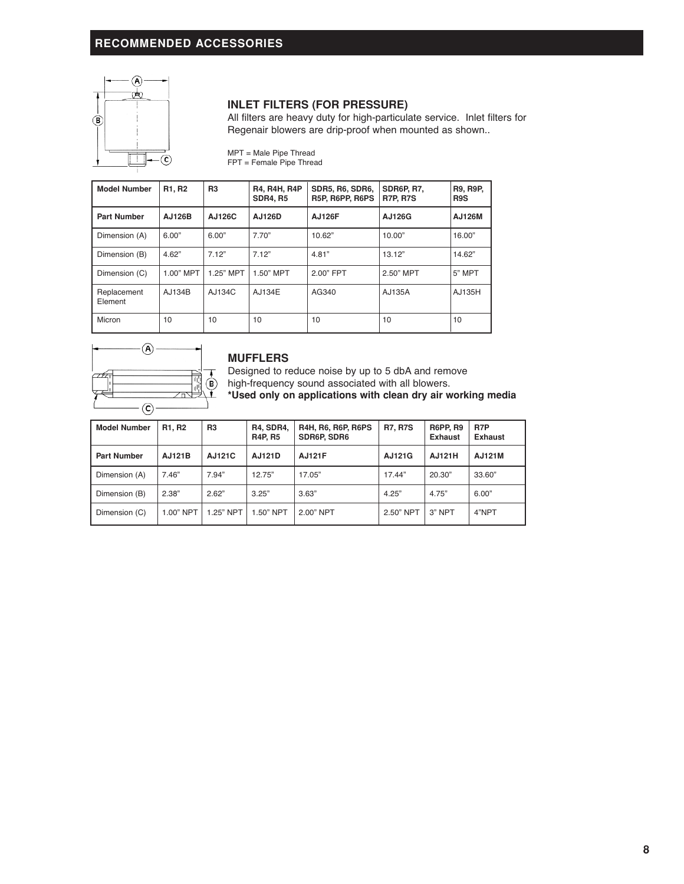# **RECOMMENDED ACCESSORIES**



## **INLET FILTERS (FOR PRESSURE)**

All filters are heavy duty for high-particulate service. Inlet filters for Regenair blowers are drip-proof when mounted as shown..

MPT = Male Pipe Thread FPT = Female Pipe Thread

**Model Number R1, R2 R3 R4, R4H, R4P SDR5, R6, SDR6, SDR6P, R7, R9, R9P,**  $R5P, R6PP, R6PS$ **Part Number AJ126B AJ126C AJ126D AJ126F AJ126G AJ126M** Dimension (A) 6.00" 6.00" 7.70" 10.62" 10.00" 16.00" 16.00" Dimension (B) 4.62" 7.12" 7.12" 4.81" 13.12" 14.62" Dimension (C) | 1.00" MPT | 1.25" MPT | 1.50" MPT | 2.00" FPT | 2.50" MPT | 5" MPT Replacement AJ134B AJ134C AJ134E AG340 AJ135A AJ135H Element Micron | 10 | 10 | 10 | 10 | 10 | 10



### **MUFFLERS**

Designed to reduce noise by up to 5 dbA and remove

high-frequency sound associated with all blowers.

**\*Used only on applications with clean dry air working media**

| <b>Model Number</b> | R <sub>1</sub> , R <sub>2</sub> | R <sub>3</sub> | <b>R4, SDR4,</b><br><b>R4P, R5</b> | <b>R4H, R6, R6P, R6PS</b><br><b>SDR6P, SDR6</b> | <b>R7, R7S</b> | <b>R6PP, R9</b><br><b>Exhaust</b> | R7P<br><b>Exhaust</b> |
|---------------------|---------------------------------|----------------|------------------------------------|-------------------------------------------------|----------------|-----------------------------------|-----------------------|
| <b>Part Number</b>  | AJ121B                          | AJ121C         | AJ121D                             | AJ121F                                          | AJ121G         | AJ121H                            | AJ121M                |
| Dimension (A)       | 7.46"                           | 7.94"          | 12.75"                             | 17.05"                                          | 17.44"         | 20.30"                            | 33.60"                |
| Dimension (B)       | 2.38"                           | 2.62"          | 3.25"                              | 3.63"                                           | 4.25"          | 4.75"                             | 6.00"                 |
| Dimension (C)       | 1.00" NPT                       | 1.25" NPT      | 1.50" NPT                          | 2.00" NPT                                       | 2.50" NPT      | 3" NPT                            | 4"NPT                 |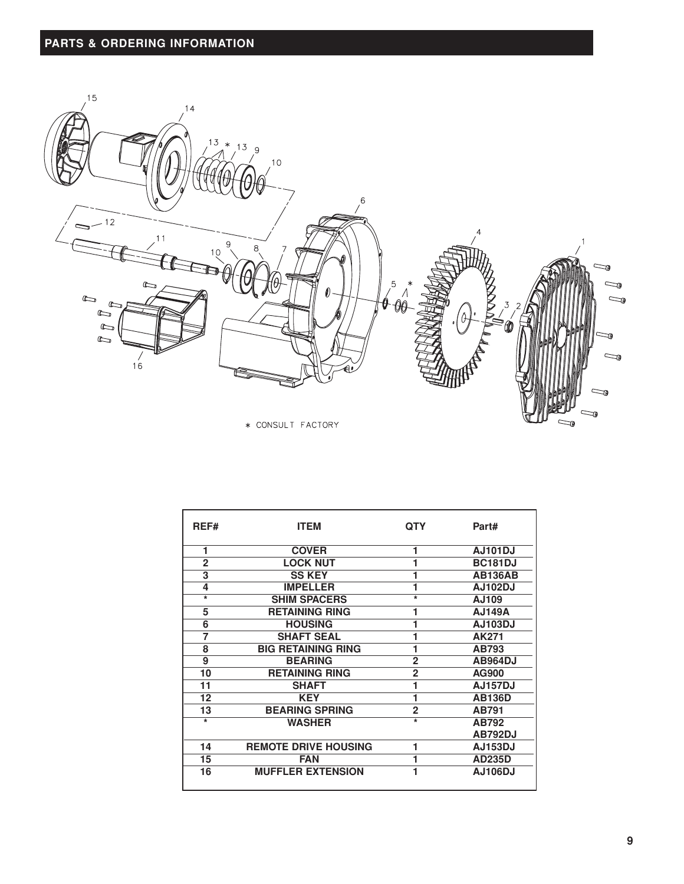# **PARTS & ORDERING INFORMATION**



\* CONSULT FACTORY

| REF#              | <b>ITEM</b>                 | <b>QTY</b>        | Part#          |
|-------------------|-----------------------------|-------------------|----------------|
| 1                 | <b>COVER</b>                |                   | <b>AJ101DJ</b> |
| $\overline{2}$    | <b>LOCK NUT</b>             |                   | <b>BC181DJ</b> |
| 3                 | <b>SS KEY</b>               |                   | <b>AB136AB</b> |
| 4                 | <b>IMPELLER</b>             |                   | <b>AJ102DJ</b> |
| $\overline{\ast}$ | <b>SHIM SPACERS</b>         | $\overline{\ast}$ | AJ109          |
| 5                 | <b>RETAINING RING</b>       |                   | <b>AJ149A</b>  |
| 6                 | <b>HOUSING</b>              |                   | <b>AJ103DJ</b> |
| 7                 | <b>SHAFT SEAL</b>           |                   | AK271          |
| 8                 | <b>BIG RETAINING RING</b>   |                   | AB793          |
| 9                 | <b>BEARING</b>              | $\overline{2}$    | <b>AB964DJ</b> |
| 10                | <b>RETAINING RING</b>       | $\overline{2}$    | AG900          |
| 11                | <b>SHAFT</b>                |                   | <b>AJ157DJ</b> |
| 12                | <b>KEY</b>                  |                   | <b>AB136D</b>  |
| 13                | <b>BEARING SPRING</b>       | $\overline{2}$    | AB791          |
| $\overline{\ast}$ | <b>WASHER</b>               | $\overline{\ast}$ | AB792          |
|                   |                             |                   | <b>AB792DJ</b> |
| 14                | <b>REMOTE DRIVE HOUSING</b> | 1                 | <b>AJ153DJ</b> |
| 15                | <b>FAN</b>                  |                   | <b>AD235D</b>  |
| 16                | <b>MUFFLER EXTENSION</b>    |                   | <b>AJ106DJ</b> |